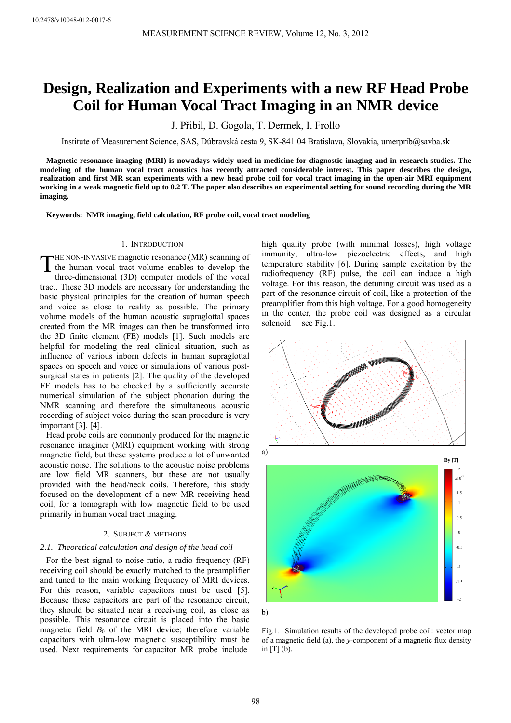# **Design, Realization and Experiments with a new RF Head Probe Coil for Human Vocal Tract Imaging in an NMR device**

J. Přibil, D. Gogola, T. Dermek, I. Frollo

Institute of Measurement Science, SAS, Dúbravská cesta 9, SK-841 04 Bratislava, Slovakia, umerprib@savba.sk

**Magnetic resonance imaging (MRI) is nowadays widely used in medicine for diagnostic imaging and in research studies. The modeling of the human vocal tract acoustics has recently attracted considerable interest. This paper describes the design, realization and first MR scan experiments with a new head probe coil for vocal tract imaging in the open-air MRI equipment working in a weak magnetic field up to 0.2 T. The paper also describes an experimental setting for sound recording during the MR imaging.** 

**Keywords: NMR imaging, field calculation, RF probe coil, vocal tract modeling** 

## 1. INTRODUCTION

HE NON-INVASIVE magnetic resonance (MR) scanning of THE NON-INVASIVE magnetic resonance (MR) scanning of<br>the human vocal tract volume enables to develop the<br>three dimensional  $(2D)$  computer models of the useal three-dimensional (3D) computer models of the vocal tract. These 3D models are necessary for understanding the basic physical principles for the creation of human speech and voice as close to reality as possible. The primary volume models of the human acoustic supraglottal spaces created from the MR images can then be transformed into the 3D finite element (FE) models [1]. Such models are helpful for modeling the real clinical situation, such as influence of various inborn defects in human supraglottal spaces on speech and voice or simulations of various postsurgical states in patients [2]. The quality of the developed FE models has to be checked by a sufficiently accurate numerical simulation of the subject phonation during the NMR scanning and therefore the simultaneous acoustic recording of subject voice during the scan procedure is very important [3], [4].

Head probe coils are commonly produced for the magnetic resonance imaginer (MRI) equipment working with strong magnetic field, but these systems produce a lot of unwanted acoustic noise. The solutions to the acoustic noise problems are low field MR scanners, but these are not usually provided with the head/neck coils. Therefore, this study focused on the development of a new MR receiving head coil, for a tomograph with low magnetic field to be used primarily in human vocal tract imaging.

### 2. SUBJECT & METHODS

#### *2.1. Theoretical calculation and design of the head coil*

For the best signal to noise ratio, a radio frequency (RF) receiving coil should be exactly matched to the preamplifier and tuned to the main working frequency of MRI devices. For this reason, variable capacitors must be used [5]. Because these capacitors are part of the resonance circuit, they should be situated near a receiving coil, as close as possible. This resonance circuit is placed into the basic magnetic field  $B_0$  of the MRI device; therefore variable capacitors with ultra-low magnetic susceptibility must be used. Next requirements for capacitor MR probe include

high quality probe (with minimal losses), high voltage immunity, ultra-low piezoelectric effects, and high temperature stability [6]. During sample excitation by the radiofrequency (RF) pulse, the coil can induce a high voltage. For this reason, the detuning circuit was used as a part of the resonance circuit of coil, like a protection of the preamplifier from this high voltage. For a good homogeneity in the center, the probe coil was designed as a circular solenoid see Fig.1.



b)

Fig.1.Simulation results of the developed probe coil: vector map of a magnetic field (a), the *y*-component of a magnetic flux density in  $[T]$  (b).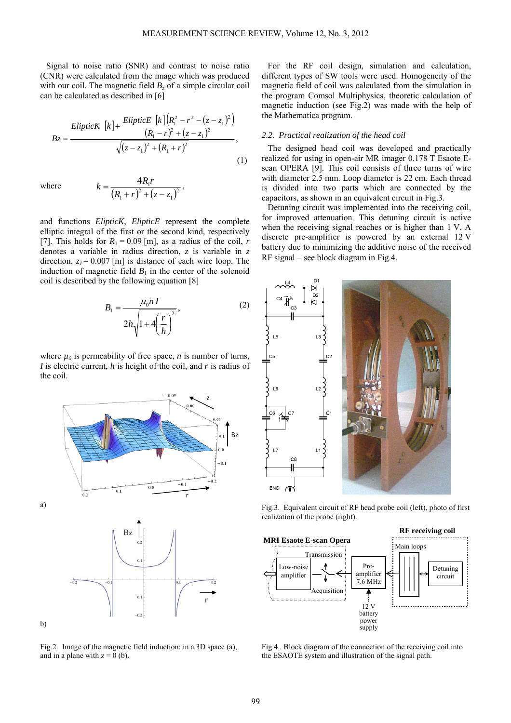Signal to noise ratio (SNR) and contrast to noise ratio (CNR) were calculated from the image which was produced with our coil. The magnetic field  $B_z$  of a simple circular coil can be calculated as described in [6]

$$
Bz = \frac{ElipticK\left[k\right] + \frac{ElipticE\left[k\right]\left(R_1^2 - r^2 - (z - z_1)^2\right)}{\left(R_1 - r\right)^2 + (z - z_1)^2}
$$
\n
$$
\sqrt{(z - z_1)^2 + (R_1 + r)^2}
$$
\n(1)

where

$$
k = \frac{4R_1r}{(R_1+r)^2 + (z-z_1)^2},
$$

and functions *ElipticK*, *ElipticE* represent the complete elliptic integral of the first or the second kind, respectively [7]. This holds for  $R_1 = 0.09$  [m], as a radius of the coil, *r* denotes a variable in radius direction, *z* is variable in *z* direction,  $z_1 = 0.007$  [m] is distance of each wire loop. The induction of magnetic field  $B_1$  in the center of the solenoid coil is described by the following equation [8]

$$
B_1 = \frac{\mu_0 n I}{2h\sqrt{1 + 4\left(\frac{r}{h}\right)^2}},\tag{2}
$$

where  $\mu_0$  is permeability of free space, *n* is number of turns, *I* is electric current, *h* is height of the coil, and *r* is radius of the coil.



Fig.2. Image of the magnetic field induction: in a 3D space (a), and in a plane with  $z = 0$  (b).

For the RF coil design, simulation and calculation, different types of SW tools were used. Homogeneity of the magnetic field of coil was calculated from the simulation in the program Comsol Multiphysics, theoretic calculation of magnetic induction (see Fig.2) was made with the help of the Mathematica program.

## *2.2. Practical realization of the head coil*

The designed head coil was developed and practically realized for using in open-air MR imager 0.178 T Esaote Escan OPERA [9]. This coil consists of three turns of wire with diameter 2.5 mm. Loop diameter is 22 cm. Each thread is divided into two parts which are connected by the capacitors, as shown in an equivalent circuit in Fig.3.

Detuning circuit was implemented into the receiving coil, for improved attenuation. This detuning circuit is active when the receiving signal reaches or is higher than 1 V. A discrete pre-amplifier is powered by an external 12 V battery due to minimizing the additive noise of the received RF signal − see block diagram in Fig.4.



Fig.3. Equivalent circuit of RF head probe coil (left), photo of first realization of the probe (right).



Fig.4. Block diagram of the connection of the receiving coil into the ESAOTE system and illustration of the signal path.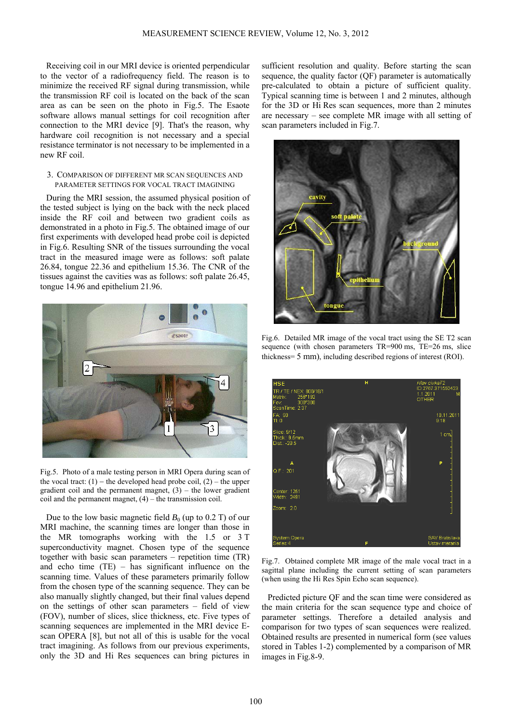Receiving coil in our MRI device is oriented perpendicular to the vector of a radiofrequency field. The reason is to minimize the received RF signal during transmission, while the transmission RF coil is located on the back of the scan area as can be seen on the photo in Fig.5. The Esaote software allows manual settings for coil recognition after connection to the MRI device [9]. That's the reason, why hardware coil recognition is not necessary and a special resistance terminator is not necessary to be implemented in a new RF coil.

## 3. COMPARISON OF DIFFERENT MR SCAN SEQUENCES AND PARAMETER SETTINGS FOR VOCAL TRACT IMAGINING

During the MRI session, the assumed physical position of the tested subject is lying on the back with the neck placed inside the RF coil and between two gradient coils as demonstrated in a photo in Fig.5. The obtained image of our first experiments with developed head probe coil is depicted in Fig.6. Resulting SNR of the tissues surrounding the vocal tract in the measured image were as follows: soft palate 26.84, tongue 22.36 and epithelium 15.36. The CNR of the tissues against the cavities was as follows: soft palate 26.45, tongue 14.96 and epithelium 21.96.



Fig.5. Photo of a male testing person in MRI Opera during scan of the vocal tract:  $(1)$  – the developed head probe coil,  $(2)$  – the upper gradient coil and the permanent magnet,  $(3)$  – the lower gradient coil and the permanent magnet,  $(4)$  – the transmission coil.

Due to the low basic magnetic field  $B_0$  (up to 0.2 T) of our MRI machine, the scanning times are longer than those in the MR tomographs working with the 1.5 or 3 T superconductivity magnet. Chosen type of the sequence together with basic scan parameters – repetition time (TR) and echo time  $(TE)$  – has significant influence on the scanning time. Values of these parameters primarily follow from the chosen type of the scanning sequence. They can be also manually slightly changed, but their final values depend on the settings of other scan parameters – field of view (FOV), number of slices, slice thickness, etc. Five types of scanning sequences are implemented in the MRI device Escan OPERA [8], but not all of this is usable for the vocal tract imagining. As follows from our previous experiments, only the 3D and Hi Res sequences can bring pictures in

sufficient resolution and quality. Before starting the scan sequence, the quality factor (QF) parameter is automatically pre-calculated to obtain a picture of sufficient quality. Typical scanning time is between 1 and 2 minutes, although for the 3D or Hi Res scan sequences, more than 2 minutes are necessary – see complete MR image with all setting of scan parameters included in Fig.7.



Fig.6.Detailed MR image of the vocal tract using the SE T2 scan sequence (with chosen parameters TR=900 ms, TE=26 ms, slice thickness= 5 mm), including described regions of interest (ROI).



Fig.7.Obtained complete MR image of the male vocal tract in a sagittal plane including the current setting of scan parameters (when using the Hi Res Spin Echo scan sequence).

Predicted picture QF and the scan time were considered as the main criteria for the scan sequence type and choice of parameter settings. Therefore a detailed analysis and comparison for two types of scan sequences were realized. Obtained results are presented in numerical form (see values stored in Tables 1-2) complemented by a comparison of MR images in Fig.8-9.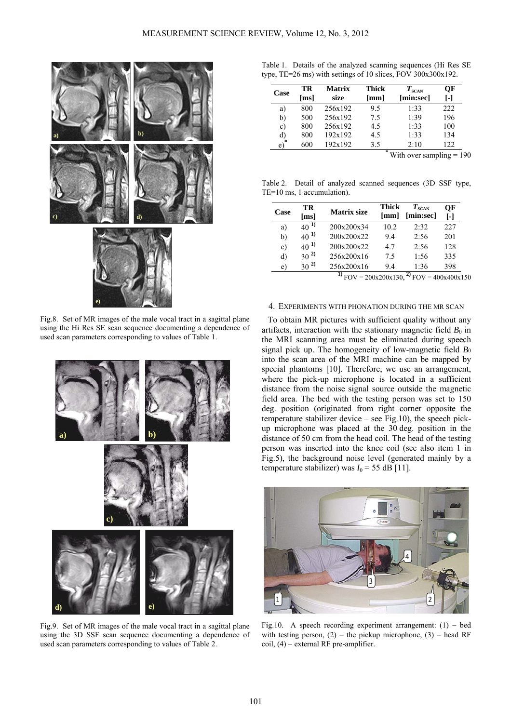

Fig.8.Set of MR images of the male vocal tract in a sagittal plane using the Hi Res SE scan sequence documenting a dependence of used scan parameters corresponding to values of Table 1.



Fig.9. Set of MR images of the male vocal tract in a sagittal plane using the 3D SSF scan sequence documenting a dependence of used scan parameters corresponding to values of Table 2.

Table 1.Details of the analyzed scanning sequences (Hi Res SE type, TE=26 ms) with settings of 10 slices,  $FOV$  300x300x192.

| Case            | TR<br>[ms] | <b>Matrix</b><br>size | <b>Thick</b><br>[mm] | $T_{\scriptscriptstyle\rm SCAN}$<br>[min:sec] | OF<br>T-1 |
|-----------------|------------|-----------------------|----------------------|-----------------------------------------------|-----------|
| a)              | 800        | 256x192               | 95                   | 1.33                                          | 222.      |
| b)              | 500        | 256x192               | 75                   | 1:39                                          | 196       |
| $\mathbf{c})$   | 800        | 256x192               | 4.5                  | 1:33                                          | 100       |
| d)              | 800        | 192x192               | 4.5                  | 1:33                                          | 134       |
| $\sqrt{ }$<br>e | 600        | 192x192               | 3.5<br>*             | 2:10                                          | 122       |

With over sampling  $= 190$ 

Table 2.Detail of analyzed scanned sequences (3D SSF type, TE=10 ms, 1 accumulation).

| Case | TR<br>$\lceil ms \rceil$ | <b>Matrix size</b> | Thick<br>[mm] | $T_{\scriptscriptstyle\rm SCAN}$<br>[min:sec] | ОF<br>[-] |
|------|--------------------------|--------------------|---------------|-----------------------------------------------|-----------|
| a)   | 1)<br>40                 | 200x200x34         | 10.2          | 2:32                                          | 227       |
| b)   | $40^{11}$                | 200x200x22         | 9.4           | 2:56                                          | 201       |
| c)   | $40^{11}$                | 200x200x22         | 47            | 2:56                                          | 128       |
| d)   | $30^{2}$                 | 256x200x16         | 75            | 1:56                                          | 335       |
| e)   | $30^{2}$                 | 256x200x16         | 94            | 1:36                                          | 398       |

 $^{(1)}$  FOV = 200x200x130,<sup>2</sup></sub> FOV = 400x400x150

## 4. EXPERIMENTS WITH PHONATION DURING THE MR SCAN

To obtain MR pictures with sufficient quality without any artifacts, interaction with the stationary magnetic field  $B_0$  in the MRI scanning area must be eliminated during speech signal pick up. The homogeneity of low-magnetic field *B*<sup>0</sup> into the scan area of the MRI machine can be mapped by special phantoms [10]. Therefore, we use an arrangement, where the pick-up microphone is located in a sufficient distance from the noise signal source outside the magnetic field area. The bed with the testing person was set to 150 deg. position (originated from right corner opposite the temperature stabilizer device – see Fig.10), the speech pickup microphone was placed at the 30 deg. position in the distance of 50 cm from the head coil. The head of the testing person was inserted into the knee coil (see also item 1 in Fig.5), the background noise level (generated mainly by a temperature stabilizer) was  $I_0 = 55$  dB [11].



Fig.10.A speech recording experiment arrangement: (1) − bed with testing person,  $(2)$  – the pickup microphone,  $(3)$  – head RF coil, (4) − external RF pre-amplifier.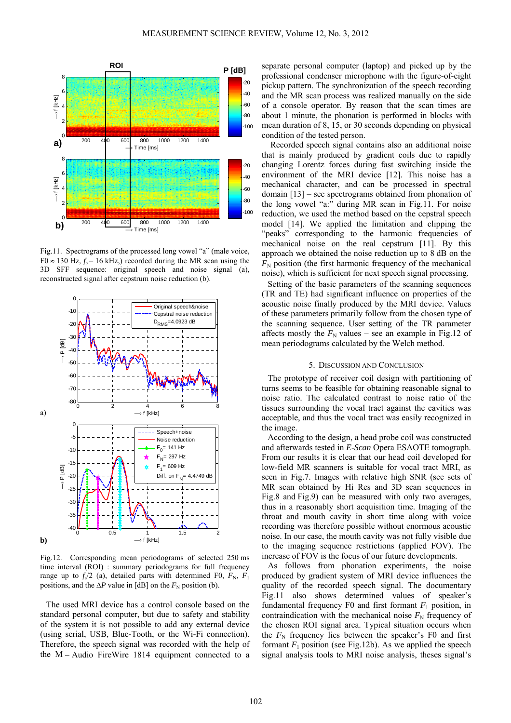

Fig.11. Spectrograms of the processed long yowel "a" (male voice,  $F0 \approx 130$  Hz,  $f_s = 16$  kHz,) recorded during the MR scan using the 3D SFF sequence: original speech and noise signal (a), reconstructed signal after cepstrum noise reduction (b).



Fig.12.Corresponding mean periodograms of selected 250 ms time interval (ROI) : summary periodograms for full frequency range up to  $f_s/2$  (a), detailed parts with determined F0,  $F_N$ ,  $F_1$ positions, and the  $\Delta P$  value in [dB] on the  $F_N$  position (b).

The used MRI device has a control console based on the standard personal computer, but due to safety and stability of the system it is not possible to add any external device (using serial, USB, Blue-Tooth, or the Wi-Fi connection). Therefore, the speech signal was recorded with the help of the M − Audio FireWire 1814 equipment connected to a separate personal computer (laptop) and picked up by the professional condenser microphone with the figure-of-eight pickup pattern. The synchronization of the speech recording and the MR scan process was realized manually on the side of a console operator. By reason that the scan times are about 1 minute, the phonation is performed in blocks with mean duration of 8, 15, or 30 seconds depending on physical condition of the tested person.

Recorded speech signal contains also an additional noise that is mainly produced by gradient coils due to rapidly changing Lorentz forces during fast switching inside the environment of the MRI device [12]. This noise has a mechanical character, and can be processed in spectral domain [13] – see spectrograms obtained from phonation of the long vowel "a:" during MR scan in Fig.11. For noise reduction, we used the method based on the cepstral speech model [14]. We applied the limitation and clipping the "peaks" corresponding to the harmonic frequencies of mechanical noise on the real cepstrum [11]. By this approach we obtained the noise reduction up to 8 dB on the  $F_N$  position (the first harmonic frequency of the mechanical noise), which is sufficient for next speech signal processing.

Setting of the basic parameters of the scanning sequences (TR and TE) had significant influence on properties of the acoustic noise finally produced by the MRI device. Values of these parameters primarily follow from the chosen type of the scanning sequence. User setting of the TR parameter affects mostly the  $F_N$  values – see an example in Fig.12 of mean periodograms calculated by the Welch method.

#### 5. DISCUSSION AND CONCLUSION

The prototype of receiver coil design with partitioning of turns seems to be feasible for obtaining reasonable signal to noise ratio. The calculated contrast to noise ratio of the tissues surrounding the vocal tract against the cavities was acceptable, and thus the vocal tract was easily recognized in the image.

According to the design, a head probe coil was constructed and afterwards tested in *E-Scan* Opera ESAOTE tomograph. From our results it is clear that our head coil developed for low-field MR scanners is suitable for vocal tract MRI, as seen in Fig.7. Images with relative high SNR (see sets of MR scan obtained by Hi Res and 3D scan sequences in Fig.8 and Fig.9) can be measured with only two averages, thus in a reasonably short acquisition time. Imaging of the throat and mouth cavity in short time along with voice recording was therefore possible without enormous acoustic noise. In our case, the mouth cavity was not fully visible due to the imaging sequence restrictions (applied FOV). The increase of FOV is the focus of our future developments.

As follows from phonation experiments, the noise produced by gradient system of MRI device influences the quality of the recorded speech signal. The documentary Fig.11 also shows determined values of speaker's fundamental frequency F0 and first formant  $F_1$  position, in contraindication with the mechanical noise  $F<sub>N</sub>$  frequency of the chosen ROI signal area. Typical situation occurs when the  $F_N$  frequency lies between the speaker's F0 and first formant  $F_1$  position (see Fig.12b). As we applied the speech signal analysis tools to MRI noise analysis, theses signal's